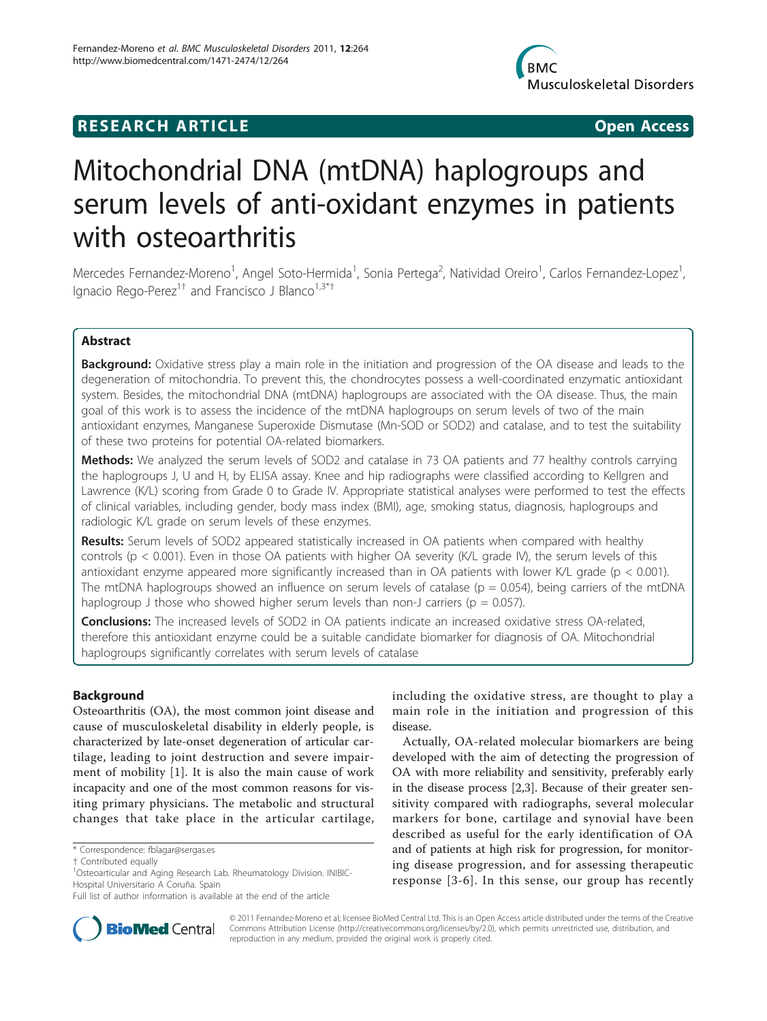

## **RESEARCH ARTICLE Example 2018 12:00 Open Access**

# Mitochondrial DNA (mtDNA) haplogroups and serum levels of anti-oxidant enzymes in patients with osteoarthritis

Mercedes Fernandez-Moreno<sup>1</sup>, Angel Soto-Hermida<sup>1</sup>, Sonia Pertega<sup>2</sup>, Natividad Oreiro<sup>1</sup>, Carlos Fernandez-Lopez<sup>1</sup> , Ignacio Rego-Perez<sup>1+</sup> and Francisco J Blanco<sup>1,3\*+</sup>

## Abstract

**Background:** Oxidative stress play a main role in the initiation and progression of the OA disease and leads to the degeneration of mitochondria. To prevent this, the chondrocytes possess a well-coordinated enzymatic antioxidant system. Besides, the mitochondrial DNA (mtDNA) haplogroups are associated with the OA disease. Thus, the main goal of this work is to assess the incidence of the mtDNA haplogroups on serum levels of two of the main antioxidant enzymes, Manganese Superoxide Dismutase (Mn-SOD or SOD2) and catalase, and to test the suitability of these two proteins for potential OA-related biomarkers.

Methods: We analyzed the serum levels of SOD2 and catalase in 73 OA patients and 77 healthy controls carrying the haplogroups J, U and H, by ELISA assay. Knee and hip radiographs were classified according to Kellgren and Lawrence (K/L) scoring from Grade 0 to Grade IV. Appropriate statistical analyses were performed to test the effects of clinical variables, including gender, body mass index (BMI), age, smoking status, diagnosis, haplogroups and radiologic K/L grade on serum levels of these enzymes.

Results: Serum levels of SOD2 appeared statistically increased in OA patients when compared with healthy controls ( $p < 0.001$ ). Even in those OA patients with higher OA severity (K/L grade IV), the serum levels of this antioxidant enzyme appeared more significantly increased than in OA patients with lower K/L grade (p < 0.001). The mtDNA haplogroups showed an influence on serum levels of catalase ( $p = 0.054$ ), being carriers of the mtDNA haplogroup J those who showed higher serum levels than non-J carriers ( $p = 0.057$ ).

Conclusions: The increased levels of SOD2 in OA patients indicate an increased oxidative stress OA-related, therefore this antioxidant enzyme could be a suitable candidate biomarker for diagnosis of OA. Mitochondrial haplogroups significantly correlates with serum levels of catalase

## Background

Osteoarthritis (OA), the most common joint disease and cause of musculoskeletal disability in elderly people, is characterized by late-onset degeneration of articular cartilage, leading to joint destruction and severe impairment of mobility [\[1](#page-5-0)]. It is also the main cause of work incapacity and one of the most common reasons for visiting primary physicians. The metabolic and structural changes that take place in the articular cartilage,

including the oxidative stress, are thought to play a main role in the initiation and progression of this disease.

Actually, OA-related molecular biomarkers are being developed with the aim of detecting the progression of OA with more reliability and sensitivity, preferably early in the disease process [\[2,3](#page-5-0)]. Because of their greater sensitivity compared with radiographs, several molecular markers for bone, cartilage and synovial have been described as useful for the early identification of OA and of patients at high risk for progression, for monitoring disease progression, and for assessing therapeutic response [\[3-6](#page-5-0)]. In this sense, our group has recently



© 2011 Fernandez-Moreno et al; licensee BioMed Central Ltd. This is an Open Access article distributed under the terms of the Creative Commons Attribution License [\(http://creativecommons.org/licenses/by/2.0](http://creativecommons.org/licenses/by/2.0)), which permits unrestricted use, distribution, and reproduction in any medium, provided the original work is properly cited.

<sup>\*</sup> Correspondence: [fblagar@sergas.es](mailto:fblagar@sergas.es)

<sup>†</sup> Contributed equally <sup>1</sup>

Osteoarticular and Aging Research Lab. Rheumatology Division. INIBIC-Hospital Universitario A Coruña. Spain

Full list of author information is available at the end of the article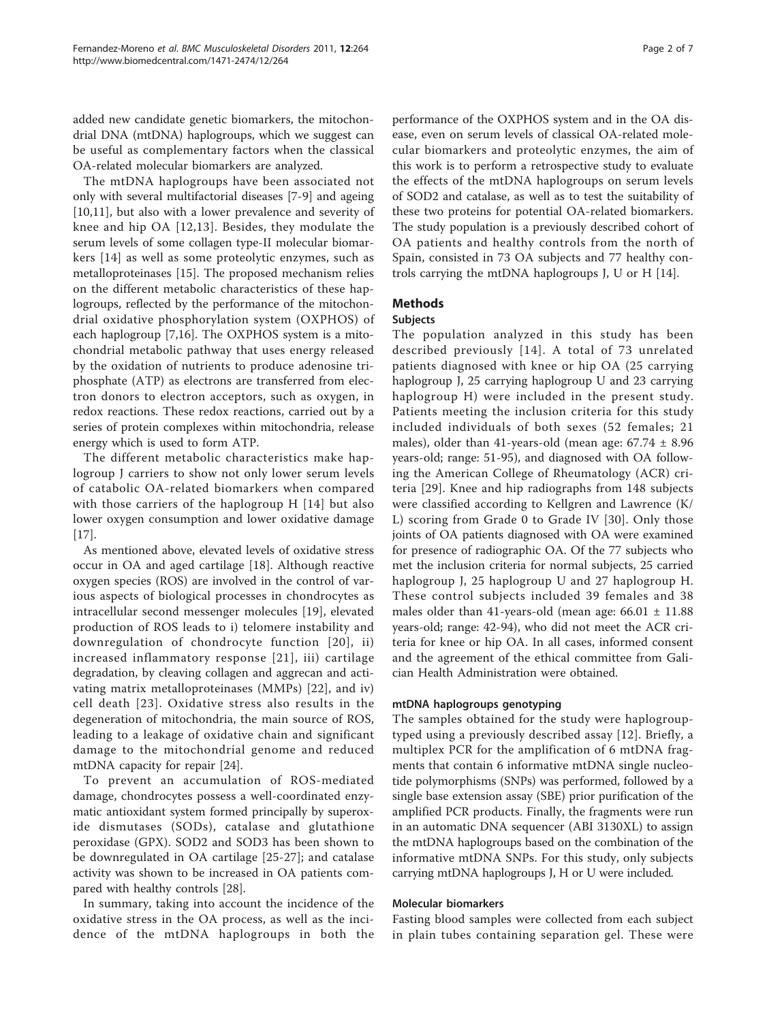added new candidate genetic biomarkers, the mitochondrial DNA (mtDNA) haplogroups, which we suggest can be useful as complementary factors when the classical OA-related molecular biomarkers are analyzed.

The mtDNA haplogroups have been associated not only with several multifactorial diseases [\[7](#page-5-0)-[9\]](#page-5-0) and ageing [[10,11\]](#page-5-0), but also with a lower prevalence and severity of knee and hip OA [[12](#page-5-0),[13](#page-5-0)]. Besides, they modulate the serum levels of some collagen type-II molecular biomarkers [[14](#page-5-0)] as well as some proteolytic enzymes, such as metalloproteinases [[15\]](#page-5-0). The proposed mechanism relies on the different metabolic characteristics of these haplogroups, reflected by the performance of the mitochondrial oxidative phosphorylation system (OXPHOS) of each haplogroup [\[7](#page-5-0),[16](#page-5-0)]. The OXPHOS system is a mitochondrial metabolic pathway that uses energy released by the oxidation of nutrients to produce adenosine triphosphate (ATP) as electrons are transferred from electron donors to electron acceptors, such as oxygen, in redox reactions. These redox reactions, carried out by a series of protein complexes within mitochondria, release energy which is used to form ATP.

The different metabolic characteristics make haplogroup J carriers to show not only lower serum levels of catabolic OA-related biomarkers when compared with those carriers of the haplogroup H [[14](#page-5-0)] but also lower oxygen consumption and lower oxidative damage [[17\]](#page-5-0).

As mentioned above, elevated levels of oxidative stress occur in OA and aged cartilage [[18\]](#page-5-0). Although reactive oxygen species (ROS) are involved in the control of various aspects of biological processes in chondrocytes as intracellular second messenger molecules [[19\]](#page-5-0), elevated production of ROS leads to i) telomere instability and downregulation of chondrocyte function [[20\]](#page-5-0), ii) increased inflammatory response [[21\]](#page-5-0), iii) cartilage degradation, by cleaving collagen and aggrecan and activating matrix metalloproteinases (MMPs) [[22\]](#page-6-0), and iv) cell death [[23\]](#page-6-0). Oxidative stress also results in the degeneration of mitochondria, the main source of ROS, leading to a leakage of oxidative chain and significant damage to the mitochondrial genome and reduced mtDNA capacity for repair [[24\]](#page-6-0).

To prevent an accumulation of ROS-mediated damage, chondrocytes possess a well-coordinated enzymatic antioxidant system formed principally by superoxide dismutases (SODs), catalase and glutathione peroxidase (GPX). SOD2 and SOD3 has been shown to be downregulated in OA cartilage [[25-27\]](#page-6-0); and catalase activity was shown to be increased in OA patients compared with healthy controls [[28\]](#page-6-0).

In summary, taking into account the incidence of the oxidative stress in the OA process, as well as the incidence of the mtDNA haplogroups in both the performance of the OXPHOS system and in the OA disease, even on serum levels of classical OA-related molecular biomarkers and proteolytic enzymes, the aim of this work is to perform a retrospective study to evaluate the effects of the mtDNA haplogroups on serum levels of SOD2 and catalase, as well as to test the suitability of these two proteins for potential OA-related biomarkers. The study population is a previously described cohort of OA patients and healthy controls from the north of Spain, consisted in 73 OA subjects and 77 healthy controls carrying the mtDNA haplogroups J, U or H [[14](#page-5-0)].

## Methods

## Subjects

The population analyzed in this study has been described previously [[14\]](#page-5-0). A total of 73 unrelated patients diagnosed with knee or hip OA (25 carrying haplogroup J, 25 carrying haplogroup U and 23 carrying haplogroup H) were included in the present study. Patients meeting the inclusion criteria for this study included individuals of both sexes (52 females; 21 males), older than 41-years-old (mean age:  $67.74 \pm 8.96$ years-old; range: 51-95), and diagnosed with OA following the American College of Rheumatology (ACR) criteria [\[29](#page-6-0)]. Knee and hip radiographs from 148 subjects were classified according to Kellgren and Lawrence (K/ L) scoring from Grade 0 to Grade IV [\[30\]](#page-6-0). Only those joints of OA patients diagnosed with OA were examined for presence of radiographic OA. Of the 77 subjects who met the inclusion criteria for normal subjects, 25 carried haplogroup J, 25 haplogroup U and 27 haplogroup H. These control subjects included 39 females and 38 males older than 41-years-old (mean age:  $66.01 \pm 11.88$ ) years-old; range: 42-94), who did not meet the ACR criteria for knee or hip OA. In all cases, informed consent and the agreement of the ethical committee from Galician Health Administration were obtained.

## mtDNA haplogroups genotyping

The samples obtained for the study were haplogrouptyped using a previously described assay [\[12](#page-5-0)]. Briefly, a multiplex PCR for the amplification of 6 mtDNA fragments that contain 6 informative mtDNA single nucleotide polymorphisms (SNPs) was performed, followed by a single base extension assay (SBE) prior purification of the amplified PCR products. Finally, the fragments were run in an automatic DNA sequencer (ABI 3130XL) to assign the mtDNA haplogroups based on the combination of the informative mtDNA SNPs. For this study, only subjects carrying mtDNA haplogroups J, H or U were included.

### Molecular biomarkers

Fasting blood samples were collected from each subject in plain tubes containing separation gel. These were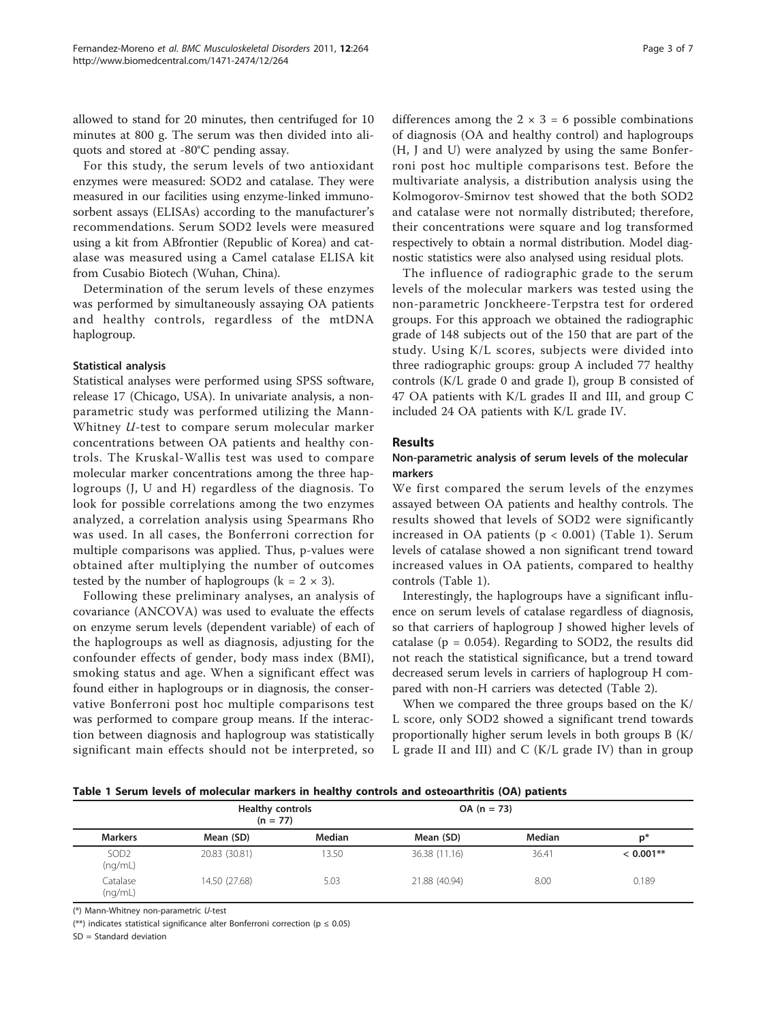allowed to stand for 20 minutes, then centrifuged for 10 minutes at 800 g. The serum was then divided into aliquots and stored at -80°C pending assay.

For this study, the serum levels of two antioxidant enzymes were measured: SOD2 and catalase. They were measured in our facilities using enzyme-linked immunosorbent assays (ELISAs) according to the manufacturer's recommendations. Serum SOD2 levels were measured using a kit from ABfrontier (Republic of Korea) and catalase was measured using a Camel catalase ELISA kit from Cusabio Biotech (Wuhan, China).

Determination of the serum levels of these enzymes was performed by simultaneously assaying OA patients and healthy controls, regardless of the mtDNA haplogroup.

## Statistical analysis

Statistical analyses were performed using SPSS software, release 17 (Chicago, USA). In univariate analysis, a nonparametric study was performed utilizing the Mann-Whitney U-test to compare serum molecular marker concentrations between OA patients and healthy controls. The Kruskal-Wallis test was used to compare molecular marker concentrations among the three haplogroups (J, U and H) regardless of the diagnosis. To look for possible correlations among the two enzymes analyzed, a correlation analysis using Spearmans Rho was used. In all cases, the Bonferroni correction for multiple comparisons was applied. Thus, p-values were obtained after multiplying the number of outcomes tested by the number of haplogroups ( $k = 2 \times 3$ ).

Following these preliminary analyses, an analysis of covariance (ANCOVA) was used to evaluate the effects on enzyme serum levels (dependent variable) of each of the haplogroups as well as diagnosis, adjusting for the confounder effects of gender, body mass index (BMI), smoking status and age. When a significant effect was found either in haplogroups or in diagnosis, the conservative Bonferroni post hoc multiple comparisons test was performed to compare group means. If the interaction between diagnosis and haplogroup was statistically significant main effects should not be interpreted, so

differences among the  $2 \times 3 = 6$  possible combinations of diagnosis (OA and healthy control) and haplogroups (H, J and U) were analyzed by using the same Bonferroni post hoc multiple comparisons test. Before the multivariate analysis, a distribution analysis using the Kolmogorov-Smirnov test showed that the both SOD2 and catalase were not normally distributed; therefore, their concentrations were square and log transformed respectively to obtain a normal distribution. Model diagnostic statistics were also analysed using residual plots.

The influence of radiographic grade to the serum levels of the molecular markers was tested using the non-parametric Jonckheere-Terpstra test for ordered groups. For this approach we obtained the radiographic grade of 148 subjects out of the 150 that are part of the study. Using K/L scores, subjects were divided into three radiographic groups: group A included 77 healthy controls (K/L grade 0 and grade I), group B consisted of 47 OA patients with K/L grades II and III, and group C included 24 OA patients with K/L grade IV.

## Results

## Non-parametric analysis of serum levels of the molecular markers

We first compared the serum levels of the enzymes assayed between OA patients and healthy controls. The results showed that levels of SOD2 were significantly increased in OA patients ( $p < 0.001$ ) (Table 1). Serum levels of catalase showed a non significant trend toward increased values in OA patients, compared to healthy controls (Table 1).

Interestingly, the haplogroups have a significant influence on serum levels of catalase regardless of diagnosis, so that carriers of haplogroup J showed higher levels of catalase ( $p = 0.054$ ). Regarding to SOD2, the results did not reach the statistical significance, but a trend toward decreased serum levels in carriers of haplogroup H compared with non-H carriers was detected (Table [2](#page-3-0)).

When we compared the three groups based on the K/ L score, only SOD2 showed a significant trend towards proportionally higher serum levels in both groups B (K/ L grade II and III) and  $C$  (K/L grade IV) than in group

Table 1 Serum levels of molecular markers in healthy controls and osteoarthritis (OA) patients

|                             | <b>Healthy controls</b><br>$(n = 77)$ |        | $OA (n = 73)$ |        |              |
|-----------------------------|---------------------------------------|--------|---------------|--------|--------------|
| <b>Markers</b>              | Mean (SD)                             | Median | Mean (SD)     | Median | p*           |
| SOD <sub>2</sub><br>(nq/mL) | 20.83 (30.81)                         | 13.50  | 36.38 (11.16) | 36.41  | $< 0.001$ ** |
| Catalase<br>(nq/mL)         | 14.50 (27.68)                         | 5.03   | 21.88 (40.94) | 8.00   | 0.189        |

(\*) Mann-Whitney non-parametric U-test

(\*\*) indicates statistical significance alter Bonferroni correction ( $p \le 0.05$ )

SD = Standard deviation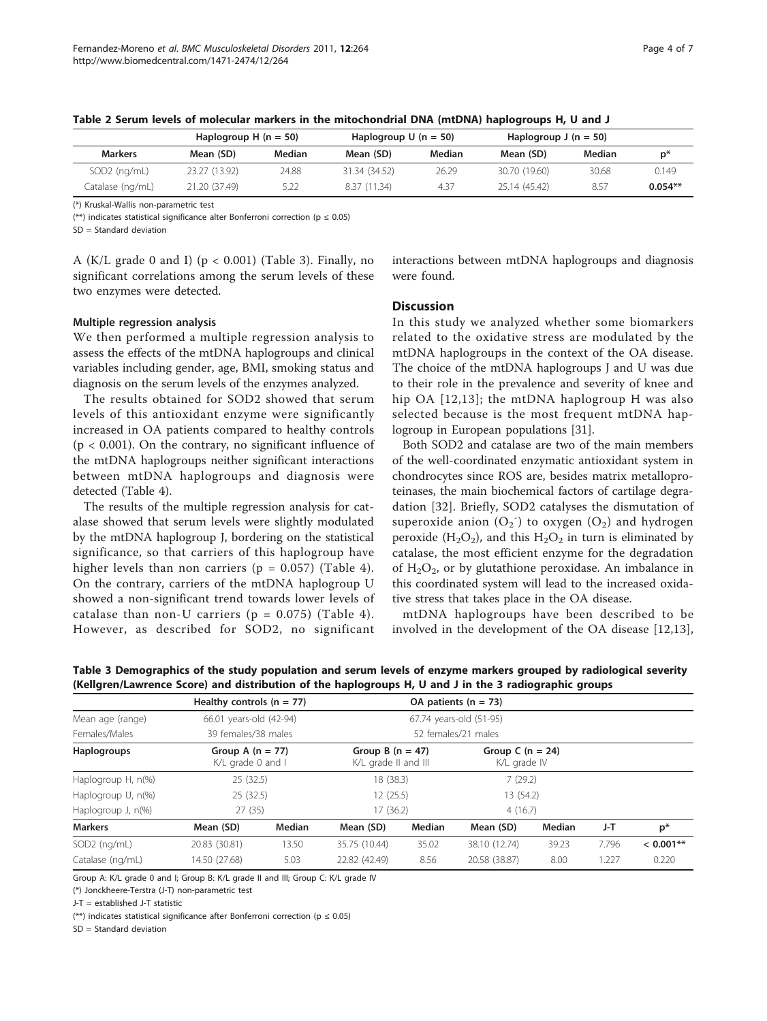|                  | Haplogroup H $(n = 50)$ |        | Haplogroup U $(n = 50)$ |        | Haplogroup $J(n = 50)$ |        |           |
|------------------|-------------------------|--------|-------------------------|--------|------------------------|--------|-----------|
| <b>Markers</b>   | Mean (SD)               | Median | Mean (SD)               | Median | Mean (SD)              | Median | n*        |
| SOD2 (ng/mL)     | 23.27 (13.92)           | 24.88  | 31.34 (34.52)           | 26.29  | 30.70 (19.60)          | 30.68  | 0.149     |
| Catalase (ng/mL) | 21.20 (37.49)           | 5.22   | 8.37 (11.34)            | 4.37   | 25.14 (45.42)          | 8.57   | $0.054**$ |

<span id="page-3-0"></span>Table 2 Serum levels of molecular markers in the mitochondrial DNA (mtDNA) haplogroups H, U and J

(\*) Kruskal-Wallis non-parametric test

(\*\*) indicates statistical significance alter Bonferroni correction ( $p \le 0.05$ )

SD = Standard deviation

A (K/L grade 0 and I) ( $p < 0.001$ ) (Table 3). Finally, no significant correlations among the serum levels of these two enzymes were detected.

interactions between mtDNA haplogroups and diagnosis were found.

#### Multiple regression analysis

We then performed a multiple regression analysis to assess the effects of the mtDNA haplogroups and clinical variables including gender, age, BMI, smoking status and diagnosis on the serum levels of the enzymes analyzed.

The results obtained for SOD2 showed that serum levels of this antioxidant enzyme were significantly increased in OA patients compared to healthy controls  $(p < 0.001)$ . On the contrary, no significant influence of the mtDNA haplogroups neither significant interactions between mtDNA haplogroups and diagnosis were detected (Table [4](#page-4-0)).

The results of the multiple regression analysis for catalase showed that serum levels were slightly modulated by the mtDNA haplogroup J, bordering on the statistical significance, so that carriers of this haplogroup have higher levels than non carriers ( $p = 0.057$ ) (Table [4\)](#page-4-0). On the contrary, carriers of the mtDNA haplogroup U showed a non-significant trend towards lower levels of catalase than non-U carriers ( $p = 0.075$ ) (Table [4\)](#page-4-0). However, as described for SOD2, no significant **Discussion** 

In this study we analyzed whether some biomarkers related to the oxidative stress are modulated by the mtDNA haplogroups in the context of the OA disease. The choice of the mtDNA haplogroups J and U was due to their role in the prevalence and severity of knee and hip OA [\[12](#page-5-0),[13](#page-5-0)]; the mtDNA haplogroup H was also selected because is the most frequent mtDNA haplogroup in European populations [[31\]](#page-6-0).

Both SOD2 and catalase are two of the main members of the well-coordinated enzymatic antioxidant system in chondrocytes since ROS are, besides matrix metalloproteinases, the main biochemical factors of cartilage degradation [\[32](#page-6-0)]. Briefly, SOD2 catalyses the dismutation of superoxide anion  $(O_2)$  to oxygen  $(O_2)$  and hydrogen peroxide ( $H_2O_2$ ), and this  $H_2O_2$  in turn is eliminated by catalase, the most efficient enzyme for the degradation of  $H_2O_2$ , or by glutathione peroxidase. An imbalance in this coordinated system will lead to the increased oxidative stress that takes place in the OA disease.

mtDNA haplogroups have been described to be involved in the development of the OA disease [[12,13](#page-5-0)],

|                          | Healthy controls $(n = 77)$             |               |                                            |                     | OA patients $(n = 73)$             |         |       |             |
|--------------------------|-----------------------------------------|---------------|--------------------------------------------|---------------------|------------------------------------|---------|-------|-------------|
| Mean age (range)         | 66.01 years-old (42-94)                 |               | 67.74 years-old (51-95)                    |                     |                                    |         |       |             |
| Females/Males            | 39 females/38 males                     |               |                                            | 52 females/21 males |                                    |         |       |             |
| <b>Haplogroups</b>       | Group A $(n = 77)$<br>K/L grade 0 and I |               | Group B $(n = 47)$<br>K/L grade II and III |                     | Group C $(n = 24)$<br>K/L grade IV |         |       |             |
| Haplogroup H, n(%)       |                                         | 25(32.5)      |                                            | 18 (38.3)           |                                    | 7(29.2) |       |             |
| Haplogroup U, n(%)       | 25(32.5)                                |               | 12(25.5)                                   |                     | 13 (54.2)                          |         |       |             |
| Haplogroup J, n(%)       | 27(35)                                  |               | 17 (36.2)                                  |                     | 4(16.7)                            |         |       |             |
| <b>Markers</b>           | Mean (SD)                               | <b>Median</b> | Mean (SD)                                  | Median              | Mean (SD)                          | Median  | J-T   | $p^*$       |
| SOD <sub>2</sub> (ng/mL) | 20.83 (30.81)                           | 13.50         | 35.75 (10.44)                              | 35.02               | 38.10 (12.74)                      | 39.23   | 7.796 | $< 0.001**$ |
| Catalase (ng/mL)         | 14.50 (27.68)                           | 5.03          | 22.82 (42.49)                              | 8.56                | 20.58 (38.87)                      | 8.00    | 1.227 | 0.220       |

Table 3 Demographics of the study population and serum levels of enzyme markers grouped by radiological severity (Kellgren/Lawrence Score) and distribution of the haplogroups H, U and J in the 3 radiographic groups

Group A: K/L grade 0 and I; Group B: K/L grade II and III; Group C: K/L grade IV

(\*) Jonckheere-Terstra (J-T) non-parametric test

J-T = established J-T statistic

(\*\*) indicates statistical significance after Bonferroni correction ( $p \le 0.05$ )

SD = Standard deviation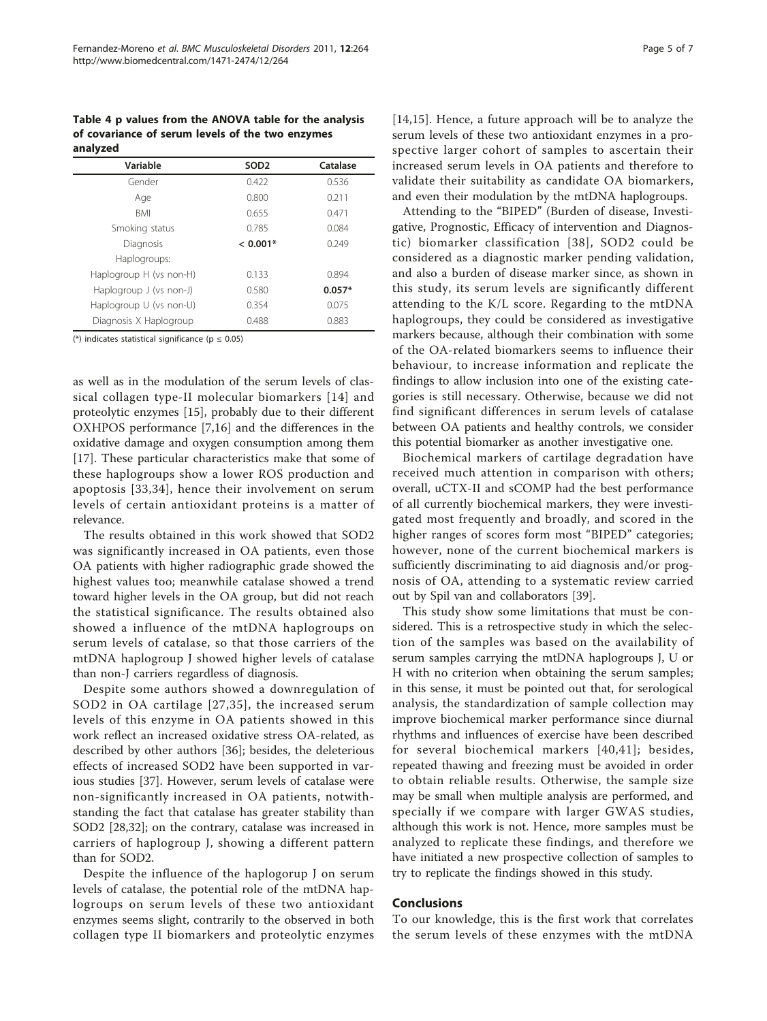<span id="page-4-0"></span>Table 4 p values from the ANOVA table for the analysis of covariance of serum levels of the two enzymes analyzed

| Variable                | SOD <sub>2</sub> | Catalase |
|-------------------------|------------------|----------|
| Gender                  | 0.422            | 0.536    |
| Age                     | 0.800            | 0.211    |
| <b>BMI</b>              | 0.655            | 0.471    |
| Smoking status          | 0.785            | 0.084    |
| Diagnosis               | $< 0.001*$       | 0.249    |
| Haplogroups:            |                  |          |
| Haplogroup H (vs non-H) | 0.133            | 0.894    |
| Haplogroup J (vs non-J) | 0.580            | $0.057*$ |
| Haplogroup U (vs non-U) | 0.354            | 0.075    |
| Diagnosis X Haplogroup  | 0.488            | 0.883    |

(\*) indicates statistical significance ( $p \le 0.05$ )

as well as in the modulation of the serum levels of classical collagen type-II molecular biomarkers [[14\]](#page-5-0) and proteolytic enzymes [[15](#page-5-0)], probably due to their different OXHPOS performance [\[7](#page-5-0),[16\]](#page-5-0) and the differences in the oxidative damage and oxygen consumption among them [[17\]](#page-5-0). These particular characteristics make that some of these haplogroups show a lower ROS production and apoptosis [[33,34\]](#page-6-0), hence their involvement on serum levels of certain antioxidant proteins is a matter of relevance.

The results obtained in this work showed that SOD2 was significantly increased in OA patients, even those OA patients with higher radiographic grade showed the highest values too; meanwhile catalase showed a trend toward higher levels in the OA group, but did not reach the statistical significance. The results obtained also showed a influence of the mtDNA haplogroups on serum levels of catalase, so that those carriers of the mtDNA haplogroup J showed higher levels of catalase than non-J carriers regardless of diagnosis.

Despite some authors showed a downregulation of SOD2 in OA cartilage [[27,35](#page-6-0)], the increased serum levels of this enzyme in OA patients showed in this work reflect an increased oxidative stress OA-related, as described by other authors [\[36](#page-6-0)]; besides, the deleterious effects of increased SOD2 have been supported in various studies [\[37](#page-6-0)]. However, serum levels of catalase were non-significantly increased in OA patients, notwithstanding the fact that catalase has greater stability than SOD2 [[28,32\]](#page-6-0); on the contrary, catalase was increased in carriers of haplogroup J, showing a different pattern than for SOD2.

Despite the influence of the haplogorup J on serum levels of catalase, the potential role of the mtDNA haplogroups on serum levels of these two antioxidant enzymes seems slight, contrarily to the observed in both collagen type II biomarkers and proteolytic enzymes [[14,15](#page-5-0)]. Hence, a future approach will be to analyze the serum levels of these two antioxidant enzymes in a prospective larger cohort of samples to ascertain their increased serum levels in OA patients and therefore to validate their suitability as candidate OA biomarkers, and even their modulation by the mtDNA haplogroups.

Attending to the "BIPED" (Burden of disease, Investigative, Prognostic, Efficacy of intervention and Diagnostic) biomarker classification [[38\]](#page-6-0), SOD2 could be considered as a diagnostic marker pending validation, and also a burden of disease marker since, as shown in this study, its serum levels are significantly different attending to the K/L score. Regarding to the mtDNA haplogroups, they could be considered as investigative markers because, although their combination with some of the OA-related biomarkers seems to influence their behaviour, to increase information and replicate the findings to allow inclusion into one of the existing categories is still necessary. Otherwise, because we did not find significant differences in serum levels of catalase between OA patients and healthy controls, we consider this potential biomarker as another investigative one.

Biochemical markers of cartilage degradation have received much attention in comparison with others; overall, uCTX-II and sCOMP had the best performance of all currently biochemical markers, they were investigated most frequently and broadly, and scored in the higher ranges of scores form most "BIPED" categories; however, none of the current biochemical markers is sufficiently discriminating to aid diagnosis and/or prognosis of OA, attending to a systematic review carried out by Spil van and collaborators [[39](#page-6-0)].

This study show some limitations that must be considered. This is a retrospective study in which the selection of the samples was based on the availability of serum samples carrying the mtDNA haplogroups J, U or H with no criterion when obtaining the serum samples; in this sense, it must be pointed out that, for serological analysis, the standardization of sample collection may improve biochemical marker performance since diurnal rhythms and influences of exercise have been described for several biochemical markers [[40](#page-6-0),[41\]](#page-6-0); besides, repeated thawing and freezing must be avoided in order to obtain reliable results. Otherwise, the sample size may be small when multiple analysis are performed, and specially if we compare with larger GWAS studies, although this work is not. Hence, more samples must be analyzed to replicate these findings, and therefore we have initiated a new prospective collection of samples to try to replicate the findings showed in this study.

## Conclusions

To our knowledge, this is the first work that correlates the serum levels of these enzymes with the mtDNA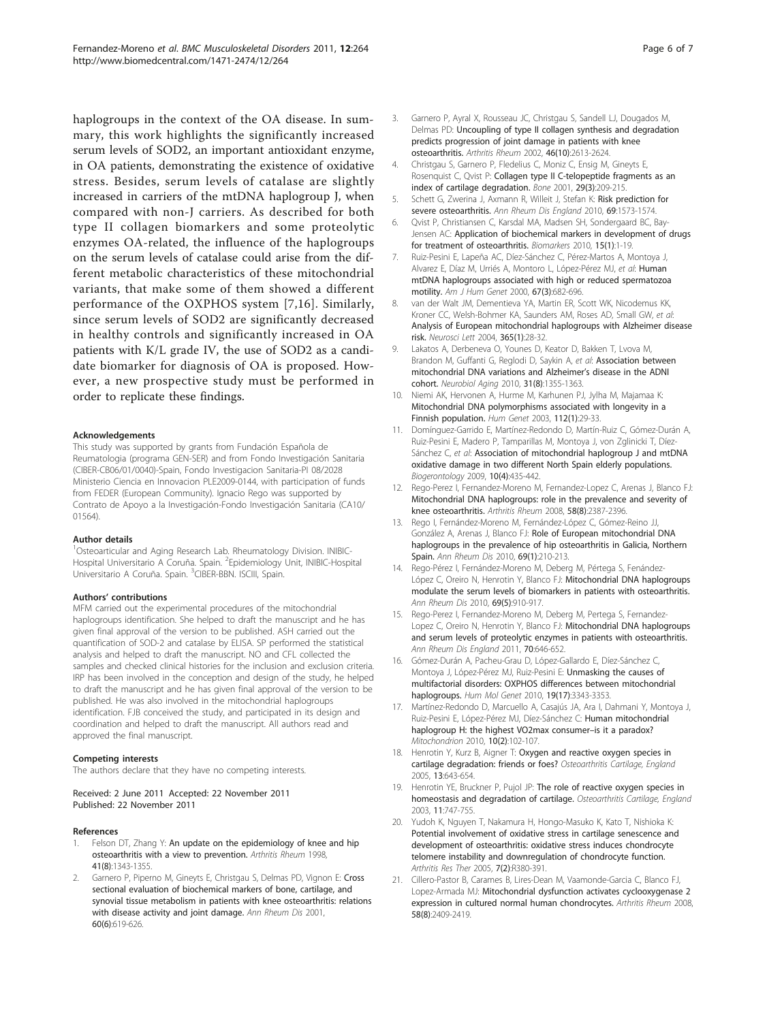<span id="page-5-0"></span>haplogroups in the context of the OA disease. In summary, this work highlights the significantly increased serum levels of SOD2, an important antioxidant enzyme, in OA patients, demonstrating the existence of oxidative stress. Besides, serum levels of catalase are slightly increased in carriers of the mtDNA haplogroup J, when compared with non-J carriers. As described for both type II collagen biomarkers and some proteolytic enzymes OA-related, the influence of the haplogroups on the serum levels of catalase could arise from the different metabolic characteristics of these mitochondrial variants, that make some of them showed a different performance of the OXPHOS system [7,16]. Similarly, since serum levels of SOD2 are significantly decreased in healthy controls and significantly increased in OA patients with K/L grade IV, the use of SOD2 as a candidate biomarker for diagnosis of OA is proposed. However, a new prospective study must be performed in order to replicate these findings.

#### Acknowledgements

This study was supported by grants from Fundación Española de Reumatologia (programa GEN-SER) and from Fondo Investigación Sanitaria (CIBER-CB06/01/0040)-Spain, Fondo Investigacion Sanitaria-PI 08/2028 Ministerio Ciencia en Innovacion PLE2009-0144, with participation of funds from FEDER (European Community). Ignacio Rego was supported by Contrato de Apoyo a la Investigación-Fondo Investigación Sanitaria (CA10/ 01564).

#### Author details

<sup>1</sup>Osteoarticular and Aging Research Lab. Rheumatology Division. INIBIC-Hospital Universitario A Coruña. Spain. <sup>2</sup>Epidemiology Unit, INIBIC-Hospital Universitario A Coruña. Spain. <sup>3</sup>CIBER-BBN. ISCIII, Spain.

#### Authors' contributions

MFM carried out the experimental procedures of the mitochondrial haplogroups identification. She helped to draft the manuscript and he has given final approval of the version to be published. ASH carried out the quantification of SOD-2 and catalase by ELISA. SP performed the statistical analysis and helped to draft the manuscript. NO and CFL collected the samples and checked clinical histories for the inclusion and exclusion criteria. IRP has been involved in the conception and design of the study, he helped to draft the manuscript and he has given final approval of the version to be published. He was also involved in the mitochondrial haplogroups identification. FJB conceived the study, and participated in its design and coordination and helped to draft the manuscript. All authors read and approved the final manuscript.

#### Competing interests

The authors declare that they have no competing interests.

Received: 2 June 2011 Accepted: 22 November 2011 Published: 22 November 2011

#### References

- Felson DT, Zhang Y: [An update on the epidemiology of knee and hip](http://www.ncbi.nlm.nih.gov/pubmed/9704632?dopt=Abstract) [osteoarthritis with a view to prevention.](http://www.ncbi.nlm.nih.gov/pubmed/9704632?dopt=Abstract) Arthritis Rheum 1998, 41(8):1343-1355.
- Garnero P, Piperno M, Gineyts E, Christgau S, Delmas PD, Vignon E: [Cross](http://www.ncbi.nlm.nih.gov/pubmed/11350852?dopt=Abstract) [sectional evaluation of biochemical markers of bone, cartilage, and](http://www.ncbi.nlm.nih.gov/pubmed/11350852?dopt=Abstract) [synovial tissue metabolism in patients with knee osteoarthritis: relations](http://www.ncbi.nlm.nih.gov/pubmed/11350852?dopt=Abstract) [with disease activity and joint damage.](http://www.ncbi.nlm.nih.gov/pubmed/11350852?dopt=Abstract) Ann Rheum Dis 2001, 60(6):619-626.
- 3. Garnero P, Avral X, Rousseau JC, Christgau S, Sandell LJ, Dougados M, Delmas PD: [Uncoupling of type II collagen synthesis and degradation](http://www.ncbi.nlm.nih.gov/pubmed/12384919?dopt=Abstract) [predicts progression of joint damage in patients with knee](http://www.ncbi.nlm.nih.gov/pubmed/12384919?dopt=Abstract) [osteoarthritis.](http://www.ncbi.nlm.nih.gov/pubmed/12384919?dopt=Abstract) Arthritis Rheum 2002, 46(10):2613-2624.
- 4. Christgau S, Garnero P, Fledelius C, Moniz C, Ensig M, Gineyts E, Rosenquist C, Qvist P: [Collagen type II C-telopeptide fragments as an](http://www.ncbi.nlm.nih.gov/pubmed/11557363?dopt=Abstract) [index of cartilage degradation.](http://www.ncbi.nlm.nih.gov/pubmed/11557363?dopt=Abstract) Bone 2001, 29(3):209-215.
- 5. Schett G, Zwerina J, Axmann R, Willeit J, Stefan K: Risk prediction for severe osteoarthritis. Ann Rheum Dis England 2010, 69:1573-1574.
- 6. Qvist P, Christiansen C, Karsdal MA, Madsen SH, Sondergaard BC, Bay-Jensen AC: [Application of biochemical markers in development of drugs](http://www.ncbi.nlm.nih.gov/pubmed/20085489?dopt=Abstract) [for treatment of osteoarthritis.](http://www.ncbi.nlm.nih.gov/pubmed/20085489?dopt=Abstract) Biomarkers 2010, 15(1):1-19.
- 7. Ruiz-Pesini E, Lapeña AC, Díez-Sánchez C, Pérez-Martos A, Montoya J, Alvarez E, Díaz M, Urriés A, Montoro L, López-Pérez MJ, et al: [Human](http://www.ncbi.nlm.nih.gov/pubmed/10936107?dopt=Abstract) [mtDNA haplogroups associated with high or reduced spermatozoa](http://www.ncbi.nlm.nih.gov/pubmed/10936107?dopt=Abstract) [motility.](http://www.ncbi.nlm.nih.gov/pubmed/10936107?dopt=Abstract) Am J Hum Genet 2000, 67(3):682-696.
- 8. van der Walt JM, Dementieva YA, Martin ER, Scott WK, Nicodemus KK, Kroner CC, Welsh-Bohmer KA, Saunders AM, Roses AD, Small GW, et al: [Analysis of European mitochondrial haplogroups with Alzheimer disease](http://www.ncbi.nlm.nih.gov/pubmed/15234467?dopt=Abstract) [risk.](http://www.ncbi.nlm.nih.gov/pubmed/15234467?dopt=Abstract) Neurosci Lett 2004, 365(1):28-32.
- 9. Lakatos A, Derbeneva O, Younes D, Keator D, Bakken T, Lvova M, Brandon M, Guffanti G, Reglodi D, Saykin A, et al: [Association between](http://www.ncbi.nlm.nih.gov/pubmed/20538375?dopt=Abstract) [mitochondrial DNA variations and Alzheimer](http://www.ncbi.nlm.nih.gov/pubmed/20538375?dopt=Abstract)'s disease in the ADNI [cohort.](http://www.ncbi.nlm.nih.gov/pubmed/20538375?dopt=Abstract) Neurobiol Aging 2010, 31(8):1355-1363.
- 10. Niemi AK, Hervonen A, Hurme M, Karhunen PJ, Jylha M, Majamaa K: [Mitochondrial DNA polymorphisms associated with longevity in a](http://www.ncbi.nlm.nih.gov/pubmed/12483296?dopt=Abstract) [Finnish population.](http://www.ncbi.nlm.nih.gov/pubmed/12483296?dopt=Abstract) Hum Genet 2003, 112(1):29-33.
- 11. Domínguez-Garrido E, Martínez-Redondo D, Martín-Ruiz C, Gómez-Durán A, Ruiz-Pesini E, Madero P, Tamparillas M, Montoya J, von Zglinicki T, Díez-Sánchez C, et al: [Association of mitochondrial haplogroup J and mtDNA](http://www.ncbi.nlm.nih.gov/pubmed/18931934?dopt=Abstract) [oxidative damage in two different North Spain elderly populations.](http://www.ncbi.nlm.nih.gov/pubmed/18931934?dopt=Abstract) Biogerontology 2009, 10(4):435-442.
- 12. Rego-Perez I, Fernandez-Moreno M, Fernandez-Lopez C, Arenas J, Blanco FJ: [Mitochondrial DNA haplogroups: role in the prevalence and severity of](http://www.ncbi.nlm.nih.gov/pubmed/18668590?dopt=Abstract) [knee osteoarthritis.](http://www.ncbi.nlm.nih.gov/pubmed/18668590?dopt=Abstract) Arthritis Rheum 2008, 58(8):2387-2396.
- 13. Rego I, Fernández-Moreno M, Fernández-López C, Gómez-Reino JJ, González A, Arenas J, Blanco FJ: [Role of European mitochondrial DNA](http://www.ncbi.nlm.nih.gov/pubmed/19224903?dopt=Abstract) haplogroups [in the prevalence of hip osteoarthritis in Galicia, Northern](http://www.ncbi.nlm.nih.gov/pubmed/19224903?dopt=Abstract) [Spain.](http://www.ncbi.nlm.nih.gov/pubmed/19224903?dopt=Abstract) Ann Rheum Dis 2010, 69(1):210-213.
- 14. Rego-Pérez I, Fernández-Moreno M, Deberg M, Pértega S, Fenández-López C, Oreiro N, Henrotin Y, Blanco FJ: [Mitochondrial DNA haplogroups](http://www.ncbi.nlm.nih.gov/pubmed/19934106?dopt=Abstract) [modulate the serum levels of biomarkers in patients with osteoarthritis.](http://www.ncbi.nlm.nih.gov/pubmed/19934106?dopt=Abstract) Ann Rheum Dis 2010, 69(5):910-917.
- 15. Rego-Perez I, Fernandez-Moreno M, Deberg M, Pertega S, Fernandez-Lopez C, Oreiro N, Henrotin Y, Blanco FJ: Mitochondrial DNA haplogroups and serum levels of proteolytic enzymes in patients with osteoarthritis. Ann Rheum Dis England 2011, 70:646-652.
- 16. Gómez-Durán A, Pacheu-Grau D, López-Gallardo E, Díez-Sánchez C, Montoya J, López-Pérez MJ, Ruiz-Pesini E: [Unmasking the causes of](http://www.ncbi.nlm.nih.gov/pubmed/20566709?dopt=Abstract) [multifactorial disorders: OXPHOS differences between mitochondrial](http://www.ncbi.nlm.nih.gov/pubmed/20566709?dopt=Abstract) [haplogroups.](http://www.ncbi.nlm.nih.gov/pubmed/20566709?dopt=Abstract) Hum Mol Genet 2010, 19(17):3343-3353.
- 17. Martínez-Redondo D, Marcuello A, Casajús JA, Ara I, Dahmani Y, Montoya J, Ruiz-Pesini E, López-Pérez MJ, Díez-Sánchez C: [Human mitochondrial](http://www.ncbi.nlm.nih.gov/pubmed/19900587?dopt=Abstract) [haplogroup H: the highest VO2max consumer](http://www.ncbi.nlm.nih.gov/pubmed/19900587?dopt=Abstract)–is it a paradox? Mitochondrion 2010, 10(2):102-107.
- 18. Henrotin Y, Kurz B, Aigner T: Oxygen and reactive oxygen species in cartilage degradation: friends or foes? Osteoarthritis Cartilage, England 2005, 13:643-654.
- 19. Henrotin YE, Bruckner P, Pujol JP: The role of reactive oxygen species in homeostasis and degradation of cartilage. Osteoarthritis Cartilage, England 2003, 11:747-755.
- 20. Yudoh K, Nguyen T, Nakamura H, Hongo-Masuko K, Kato T, Nishioka K: [Potential involvement of oxidative stress in cartilage senescence and](http://www.ncbi.nlm.nih.gov/pubmed/15743486?dopt=Abstract) [development of osteoarthritis: oxidative stress induces chondrocyte](http://www.ncbi.nlm.nih.gov/pubmed/15743486?dopt=Abstract) [telomere instability and downregulation of chondrocyte function.](http://www.ncbi.nlm.nih.gov/pubmed/15743486?dopt=Abstract) Arthritis Res Ther 2005, 7(2):R380-391.
- 21. Cillero-Pastor B, Carames B, Lires-Dean M, Vaamonde-Garcia C, Blanco FJ, Lopez-Armada MJ: [Mitochondrial dysfunction activates cyclooxygenase 2](http://www.ncbi.nlm.nih.gov/pubmed/18668543?dopt=Abstract) [expression in cultured normal human chondrocytes.](http://www.ncbi.nlm.nih.gov/pubmed/18668543?dopt=Abstract) Arthritis Rheum 2008, 58(8):2409-2419.